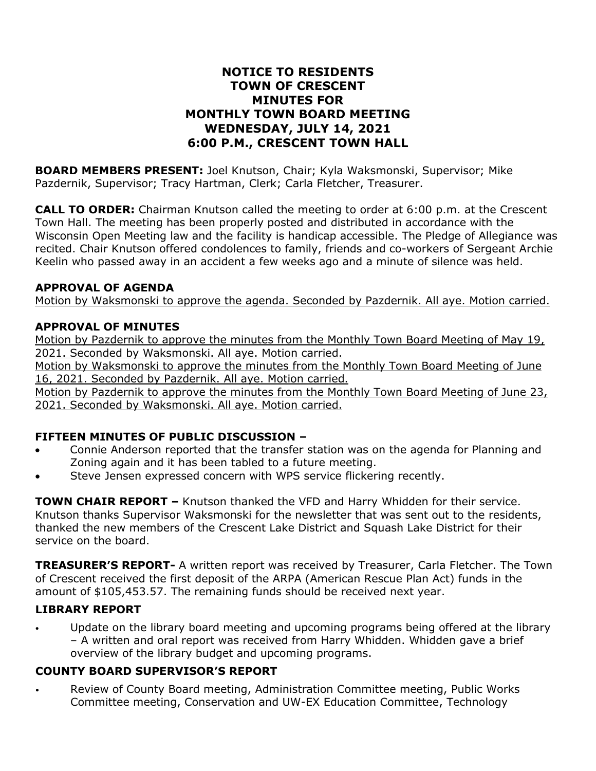# **NOTICE TO RESIDENTS TOWN OF CRESCENT MINUTES FOR MONTHLY TOWN BOARD MEETING WEDNESDAY, JULY 14, 2021 6:00 P.M., CRESCENT TOWN HALL**

**BOARD MEMBERS PRESENT:** Joel Knutson, Chair; Kyla Waksmonski, Supervisor; Mike Pazdernik, Supervisor; Tracy Hartman, Clerk; Carla Fletcher, Treasurer.

**CALL TO ORDER:** Chairman Knutson called the meeting to order at 6:00 p.m. at the Crescent Town Hall. The meeting has been properly posted and distributed in accordance with the Wisconsin Open Meeting law and the facility is handicap accessible. The Pledge of Allegiance was recited. Chair Knutson offered condolences to family, friends and co-workers of Sergeant Archie Keelin who passed away in an accident a few weeks ago and a minute of silence was held.

#### **APPROVAL OF AGENDA**

Motion by Waksmonski to approve the agenda. Seconded by Pazdernik. All aye. Motion carried.

### **APPROVAL OF MINUTES**

Motion by Pazdernik to approve the minutes from the Monthly Town Board Meeting of May 19, 2021. Seconded by Waksmonski. All aye. Motion carried.

Motion by Waksmonski to approve the minutes from the Monthly Town Board Meeting of June 16, 2021. Seconded by Pazdernik. All aye. Motion carried.

Motion by Pazdernik to approve the minutes from the Monthly Town Board Meeting of June 23, 2021. Seconded by Waksmonski. All aye. Motion carried.

# **FIFTEEN MINUTES OF PUBLIC DISCUSSION –**

- Connie Anderson reported that the transfer station was on the agenda for Planning and Zoning again and it has been tabled to a future meeting.
- Steve Jensen expressed concern with WPS service flickering recently.

**TOWN CHAIR REPORT –** Knutson thanked the VFD and Harry Whidden for their service. Knutson thanks Supervisor Waksmonski for the newsletter that was sent out to the residents, thanked the new members of the Crescent Lake District and Squash Lake District for their service on the board.

**TREASURER'S REPORT-** A written report was received by Treasurer, Carla Fletcher. The Town of Crescent received the first deposit of the ARPA (American Rescue Plan Act) funds in the amount of \$105,453.57. The remaining funds should be received next year.

# **LIBRARY REPORT**

Update on the library board meeting and upcoming programs being offered at the library – A written and oral report was received from Harry Whidden. Whidden gave a brief overview of the library budget and upcoming programs.

# **COUNTY BOARD SUPERVISOR'S REPORT**

• Review of County Board meeting, Administration Committee meeting, Public Works Committee meeting, Conservation and UW-EX Education Committee, Technology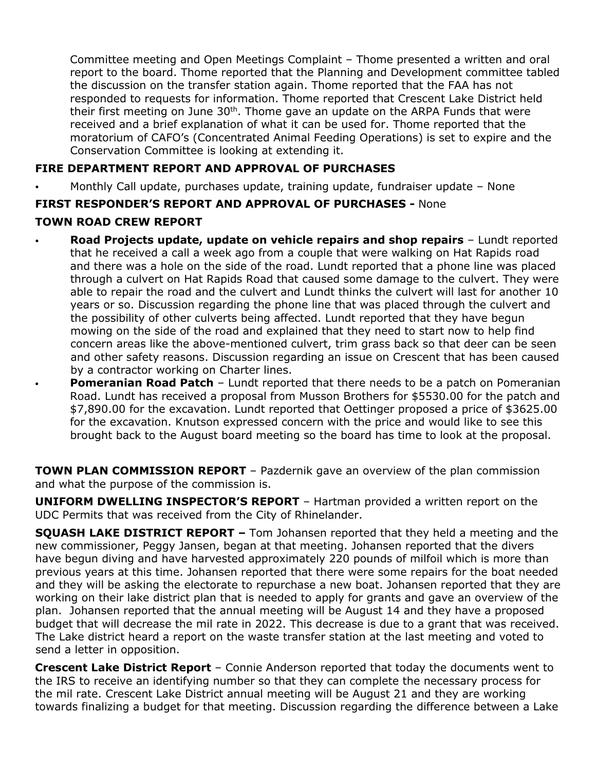Committee meeting and Open Meetings Complaint – Thome presented a written and oral report to the board. Thome reported that the Planning and Development committee tabled the discussion on the transfer station again. Thome reported that the FAA has not responded to requests for information. Thome reported that Crescent Lake District held their first meeting on June  $30<sup>th</sup>$ . Thome gave an update on the ARPA Funds that were received and a brief explanation of what it can be used for. Thome reported that the moratorium of CAFO's (Concentrated Animal Feeding Operations) is set to expire and the Conservation Committee is looking at extending it.

## **FIRE DEPARTMENT REPORT AND APPROVAL OF PURCHASES**

• Monthly Call update, purchases update, training update, fundraiser update – None

# **FIRST RESPONDER'S REPORT AND APPROVAL OF PURCHASES -** None

### **TOWN ROAD CREW REPORT**

- **Road Projects update, update on vehicle repairs and shop repairs** Lundt reported that he received a call a week ago from a couple that were walking on Hat Rapids road and there was a hole on the side of the road. Lundt reported that a phone line was placed through a culvert on Hat Rapids Road that caused some damage to the culvert. They were able to repair the road and the culvert and Lundt thinks the culvert will last for another 10 years or so. Discussion regarding the phone line that was placed through the culvert and the possibility of other culverts being affected. Lundt reported that they have begun mowing on the side of the road and explained that they need to start now to help find concern areas like the above-mentioned culvert, trim grass back so that deer can be seen and other safety reasons. Discussion regarding an issue on Crescent that has been caused by a contractor working on Charter lines.
	- **Pomeranian Road Patch** Lundt reported that there needs to be a patch on Pomeranian Road. Lundt has received a proposal from Musson Brothers for \$5530.00 for the patch and \$7,890.00 for the excavation. Lundt reported that Oettinger proposed a price of \$3625.00 for the excavation. Knutson expressed concern with the price and would like to see this brought back to the August board meeting so the board has time to look at the proposal.

**TOWN PLAN COMMISSION REPORT** – Pazdernik gave an overview of the plan commission and what the purpose of the commission is.

**UNIFORM DWELLING INSPECTOR'S REPORT** – Hartman provided a written report on the UDC Permits that was received from the City of Rhinelander.

**SQUASH LAKE DISTRICT REPORT –** Tom Johansen reported that they held a meeting and the new commissioner, Peggy Jansen, began at that meeting. Johansen reported that the divers have begun diving and have harvested approximately 220 pounds of milfoil which is more than previous years at this time. Johansen reported that there were some repairs for the boat needed and they will be asking the electorate to repurchase a new boat. Johansen reported that they are working on their lake district plan that is needed to apply for grants and gave an overview of the plan. Johansen reported that the annual meeting will be August 14 and they have a proposed budget that will decrease the mil rate in 2022. This decrease is due to a grant that was received. The Lake district heard a report on the waste transfer station at the last meeting and voted to send a letter in opposition.

**Crescent Lake District Report** – Connie Anderson reported that today the documents went to the IRS to receive an identifying number so that they can complete the necessary process for the mil rate. Crescent Lake District annual meeting will be August 21 and they are working towards finalizing a budget for that meeting. Discussion regarding the difference between a Lake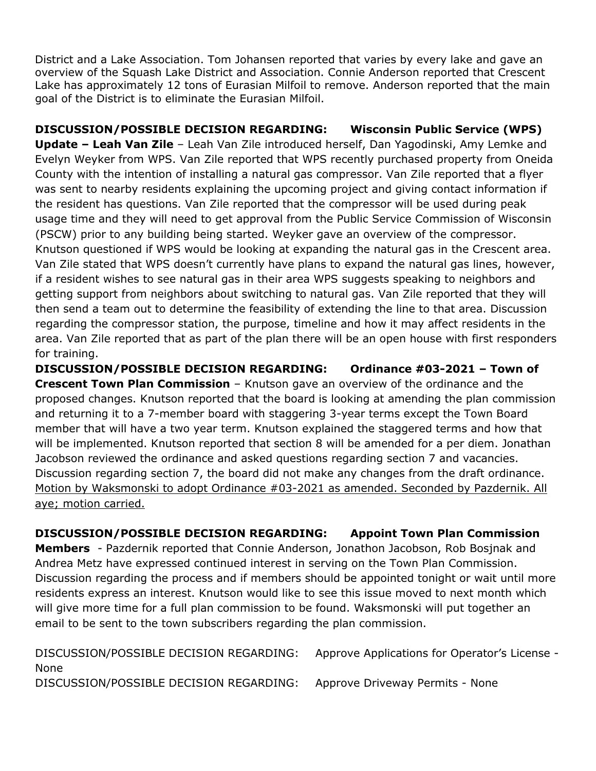District and a Lake Association. Tom Johansen reported that varies by every lake and gave an overview of the Squash Lake District and Association. Connie Anderson reported that Crescent Lake has approximately 12 tons of Eurasian Milfoil to remove. Anderson reported that the main goal of the District is to eliminate the Eurasian Milfoil.

**DISCUSSION/POSSIBLE DECISION REGARDING: Wisconsin Public Service (WPS) Update – Leah Van Zile** – Leah Van Zile introduced herself, Dan Yagodinski, Amy Lemke and Evelyn Weyker from WPS. Van Zile reported that WPS recently purchased property from Oneida County with the intention of installing a natural gas compressor. Van Zile reported that a flyer was sent to nearby residents explaining the upcoming project and giving contact information if the resident has questions. Van Zile reported that the compressor will be used during peak usage time and they will need to get approval from the Public Service Commission of Wisconsin (PSCW) prior to any building being started. Weyker gave an overview of the compressor. Knutson questioned if WPS would be looking at expanding the natural gas in the Crescent area. Van Zile stated that WPS doesn't currently have plans to expand the natural gas lines, however, if a resident wishes to see natural gas in their area WPS suggests speaking to neighbors and getting support from neighbors about switching to natural gas. Van Zile reported that they will then send a team out to determine the feasibility of extending the line to that area. Discussion regarding the compressor station, the purpose, timeline and how it may affect residents in the area. Van Zile reported that as part of the plan there will be an open house with first responders for training.

**DISCUSSION/POSSIBLE DECISION REGARDING: Ordinance #03-2021 – Town of Crescent Town Plan Commission** – Knutson gave an overview of the ordinance and the proposed changes. Knutson reported that the board is looking at amending the plan commission and returning it to a 7-member board with staggering 3-year terms except the Town Board member that will have a two year term. Knutson explained the staggered terms and how that will be implemented. Knutson reported that section 8 will be amended for a per diem. Jonathan Jacobson reviewed the ordinance and asked questions regarding section 7 and vacancies. Discussion regarding section 7, the board did not make any changes from the draft ordinance. Motion by Waksmonski to adopt Ordinance #03-2021 as amended. Seconded by Pazdernik. All aye; motion carried.

**DISCUSSION/POSSIBLE DECISION REGARDING: Appoint Town Plan Commission Members** - Pazdernik reported that Connie Anderson, Jonathon Jacobson, Rob Bosjnak and Andrea Metz have expressed continued interest in serving on the Town Plan Commission. Discussion regarding the process and if members should be appointed tonight or wait until more residents express an interest. Knutson would like to see this issue moved to next month which will give more time for a full plan commission to be found. Waksmonski will put together an email to be sent to the town subscribers regarding the plan commission.

DISCUSSION/POSSIBLE DECISION REGARDING: Approve Applications for Operator's License - None DISCUSSION/POSSIBLE DECISION REGARDING: Approve Driveway Permits - None